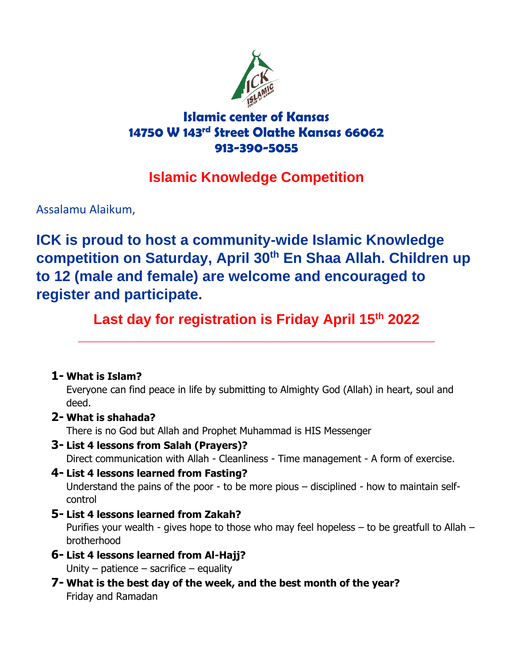

## **Islamic center of Kansas 14750 W 143rd Street Olathe Kansas 66062 913-390-5055**

## **Islamic Knowledge Competition**

Assalamu Alaikum,

**ICK is proud to host a community-wide Islamic Knowledge competition on Saturday, April 30th En Shaa Allah. Children up to 12 (male and female) are welcome and encouraged to register and participate.**

Last day for registration is Friday April 15<sup>th</sup> 2022

**\_\_\_\_\_\_\_\_\_\_\_\_\_\_\_\_\_\_\_\_\_\_\_\_\_\_\_\_\_\_\_\_\_\_\_\_\_\_\_\_\_\_\_\_\_**

## **1- What is Islam?**

Everyone can find peace in life by submitting to Almighty God (Allah) in heart, soul and deed.

## **2- What is shahada?**

There is no God but Allah and Prophet Muhammad is HIS Messenger

- **3- List 4 lessons from Salah (Prayers)?**
	- Direct communication with Allah Cleanliness Time management A form of exercise.
- **4- List 4 lessons learned from Fasting?** Understand the pains of the poor - to be more pious – disciplined - how to maintain selfcontrol
- **5- List 4 lessons learned from Zakah?** Purifies your wealth - gives hope to those who may feel hopeless – to be greatfull to Allah – brotherhood
- **6- List 4 lessons learned from Al-Hajj?** Unity – patience – sacrifice – equality
- **7- What is the best day of the week, and the best month of the year?** Friday and Ramadan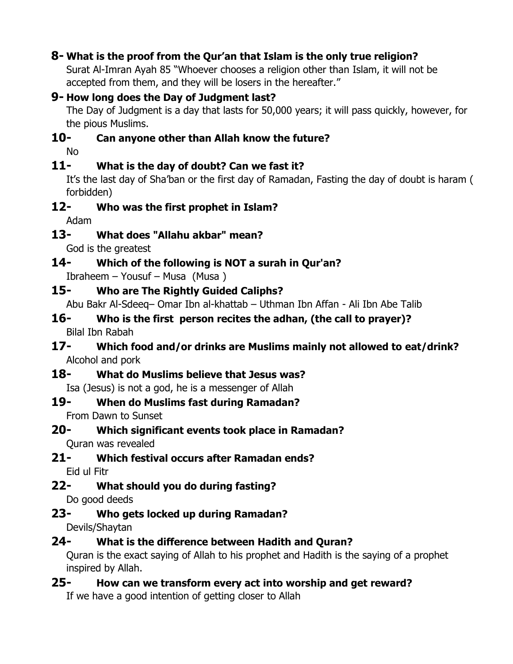## **8- What is the proof from the Qur'an that Islam is the only true religion?**

Surat Al-Imran Ayah 85 "Whoever chooses a religion other than Islam, it will not be accepted from them, and they will be losers in the hereafter."

#### **9- How long does the Day of Judgment last?**

The Day of Judgment is a day that lasts for 50,000 years; it will pass quickly, however, for the pious Muslims.

## **10- Can anyone other than Allah know the future?**

No

## **11- What is the day of doubt? Can we fast it?**

It's the last day of Sha'ban or the first day of Ramadan, Fasting the day of doubt is haram ( forbidden)

## **12- Who was the first prophet in Islam?**

Adam

## **13- What does "Allahu akbar" mean?**

God is the greatest

## **14- Which of the following is NOT a surah in Qur'an?**

Ibraheem – Yousuf – Musa (Musa )

## **15- Who are The Rightly Guided Caliphs?**

Abu Bakr Al-Sdeeq– Omar Ibn al-khattab – Uthman Ibn Affan - Ali Ibn Abe Talib

**16- Who is the first person recites the adhan, (the call to prayer)?** Bilal Ibn Rabah

#### **17- Which food and/or drinks are Muslims mainly not allowed to eat/drink?** Alcohol and pork

**18- What do Muslims believe that Jesus was?** Isa (Jesus) is not a god, he is a messenger of Allah

## **19- When do Muslims fast during Ramadan?**

From Dawn to Sunset

# **20- Which significant events took place in Ramadan?**

Quran was revealed

- **21- Which festival occurs after Ramadan ends?** Eid ul Fitr
- **22- What should you do during fasting?** Do good deeds

## **23- Who gets locked up during Ramadan?**

Devils/Shaytan

## **24- What is the difference between Hadith and Quran?**

Quran is the exact saying of Allah to his prophet and Hadith is the saying of a prophet inspired by Allah.

## **25- How can we transform every act into worship and get reward?**

If we have a good intention of getting closer to Allah